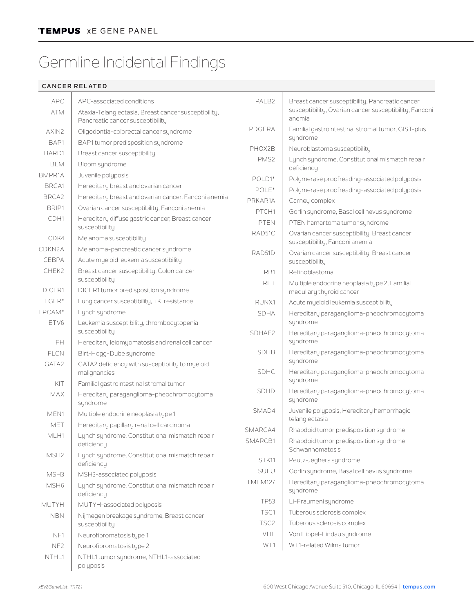## Germline Incidental Findings

## **CANCER RELATED**

| <b>APC</b>       | APC-associated conditions                                                                | PAI B <sub>2</sub> | Breast cancer susceptibility, Pancreatic cancer                                |
|------------------|------------------------------------------------------------------------------------------|--------------------|--------------------------------------------------------------------------------|
| <b>ATM</b>       | Ataxia-Telangiectasia, Breast cancer susceptibility,<br>Pancreatic cancer susceptibility |                    | susceptibility, Ovarian cancer susceptibility, Fanconi<br>anemia               |
| AXIN2            | Oligodontia-colorectal cancer syndrome                                                   | PDGFRA             | Familial gastrointestinal stromal tumor, GIST-plus<br>syndrome                 |
| BAP1             | BAP1 tumor predisposition syndrome                                                       | PHOX2B             | Neuroblastoma susceptibility                                                   |
| BARD1            | Breast cancer susceptibility                                                             | PMS <sub>2</sub>   | Lynch syndrome, Constitutional mismatch repair                                 |
| <b>BLM</b>       | Bloom syndrome                                                                           |                    | deficiency                                                                     |
| BMPR1A           | Juvenile polyposis                                                                       | POLD1*             | Polymerase proofreading-associated polyposis                                   |
| BRCA1            | Hereditary breast and ovarian cancer                                                     | POLE*              | Polymerase proofreading-associated polyposis                                   |
| BRCA2            | Hereditary breast and ovarian cancer, Fanconi anemia                                     | PRKAR1A            | Carney complex                                                                 |
| BRIP1            | Ovarian cancer susceptibility, Fanconi anemia                                            | PTCH1              | Gorlin syndrome, Basal cell nevus syndrome                                     |
| CDH1             | Hereditary diffuse gastric cancer, Breast cancer<br>susceptibility                       | <b>PTEN</b>        | PTEN hamartoma tumor syndrome                                                  |
| CDK4             | Melanoma susceptibility                                                                  | RAD51C             | Ovarian cancer susceptibility, Breast cancer<br>susceptibility, Fanconi anemia |
| CDKN2A           | Melanoma-pancreatic cancer syndrome                                                      | RAD51D             | Ovarian cancer susceptibility, Breast cancer                                   |
| CEBPA            | Acute myeloid leukemia susceptibility                                                    |                    | susceptibility                                                                 |
| CHEK2            | Breast cancer susceptibility, Colon cancer                                               | RB1                | Retinoblastoma                                                                 |
| DICER1           | susceptibility<br>DICER1 tumor predisposition syndrome                                   | <b>RET</b>         | Multiple endocrine neoplasia type 2, Familial                                  |
| $EGFR*$          | Lung cancer susceptibility, TKI resistance                                               |                    | medullary thyroid cancer                                                       |
| EPCAM*           | Lynch syndrome                                                                           | RUNX1              | Acute myeloid leukemia susceptibility                                          |
| ETV6             | Leukemia susceptibility, thrombocytopenia                                                | <b>SDHA</b>        | Hereditary paraganglioma-pheochromocytoma<br>syndrome                          |
|                  | susceptibility                                                                           | SDHAF2             | Hereditary paraganglioma-pheochromocytoma                                      |
| FH               | Hereditary leiomyomatosis and renal cell cancer                                          |                    | syndrome                                                                       |
| <b>FLCN</b>      | Birt-Hogg-Dube syndrome                                                                  | <b>SDHB</b>        | Hereditary paraganglioma-pheochromocytoma<br>syndrome                          |
| GATA2            | GATA2 deficiency with susceptibility to myeloid<br>malignancies                          | <b>SDHC</b>        | Hereditary paraganglioma-pheochromocytoma                                      |
| KIT              | Familial gastrointestinal stromal tumor                                                  |                    | syndrome                                                                       |
| <b>MAX</b>       | Hereditary paraganglioma-pheochromocytoma<br>syndrome                                    | <b>SDHD</b>        | Hereditary paraganglioma-pheochromocytoma<br>syndrome                          |
| MEN1             | Multiple endocrine neoplasia type 1                                                      | SMAD4              | Juvenile polyposis, Hereditary hemorrhagic<br>telangiectasia                   |
| MET              | Hereditary papillary renal cell carcinoma                                                | SMARCA4            | Rhabdoid tumor predisposition syndrome                                         |
| MLH1             | Lynch syndrome, Constitutional mismatch repair<br>deficiency                             | SMARCB1            | Rhabdoid tumor predisposition syndrome,                                        |
| MSH <sub>2</sub> | Lynch syndrome, Constitutional mismatch repair<br>deficiency                             | STK11              | Schwannomatosis<br>Peutz-Jeghers syndrome                                      |
|                  |                                                                                          | <b>SUFU</b>        | Gorlin syndrome, Basal cell nevus syndrome                                     |
| MSH3             | MSH3-associated polyposis                                                                | TMEM127            | Hereditary paraganglioma-pheochromocytoma                                      |
| MSH <sub>6</sub> | Lynch syndrome, Constitutional mismatch repair<br>deficiency                             |                    | syndrome                                                                       |
| <b>MUTYH</b>     | MUTYH-associated polyposis                                                               | <b>TP53</b>        | Li-Fraumeni syndrome                                                           |
| <b>NBN</b>       | Nijmegen breakage syndrome, Breast cancer                                                | TSC1               | Tuberous sclerosis complex                                                     |
|                  | susceptibility                                                                           | TSC <sub>2</sub>   | Tuberous sclerosis complex                                                     |
| NF1              | Neurofibromatosis type 1                                                                 | VHL                | Von Hippel-Lindau syndrome                                                     |
| NF <sub>2</sub>  | Neurofibromatosis type 2                                                                 | WT1                | WT1-related Wilms tumor                                                        |
| NTHL1            | NTHL1 tumor syndrome, NTHL1-associated<br>polyposis                                      |                    |                                                                                |